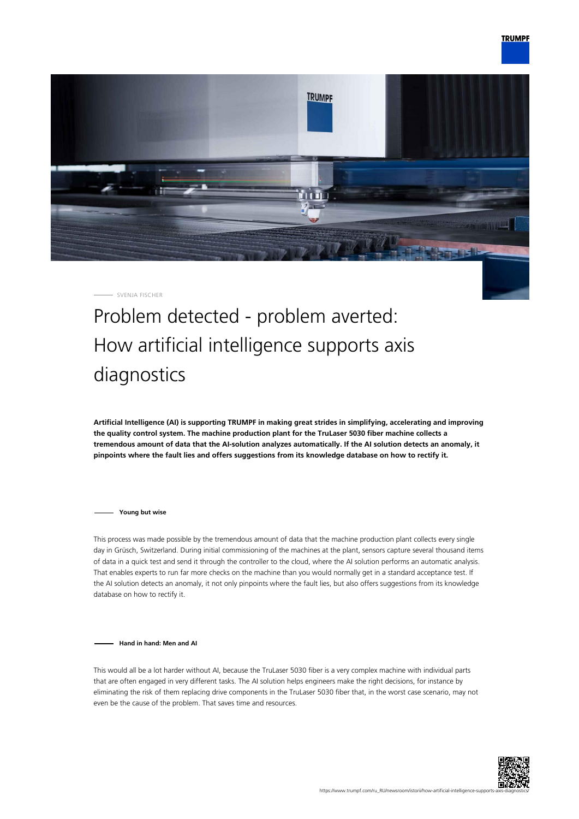

SVENJA FISCHER

## Problem detected - problem averted: How artificial intelligence supports axis diagnostics

**Artificial Intelligence (AI) is supporting TRUMPF in making great strides in simplifying, accelerating and improving the quality control system. The machine production plant for the TruLaser 5030 fiber machine collects a tremendous amount of data that the AI-solution analyzes automatically. If the AI solution detects an anomaly, it pinpoints where the fault lies and offers suggestions from its knowledge database on how to rectify it.**

**Young but wise**

This process was made possible by the tremendous amount of data that the machine production plant collects every single day in Grüsch, Switzerland. During initial commissioning of the machines at the plant, sensors capture several thousand items of data in a quick test and send it through the controller to the cloud, where the AI solution performs an automatic analysis. That enables experts to run far more checks on the machine than you would normally get in a standard acceptance test. If the AI solution detects an anomaly, it not only pinpoints where the fault lies, but also offers suggestions from its knowledge database on how to rectify it.

**Hand in hand: Men and AI**

This would all be a lot harder without AI, because the TruLaser 5030 fiber is a very complex machine with individual parts that are often engaged in very different tasks. The AI solution helps engineers make the right decisions, for instance by eliminating the risk of them replacing drive components in the TruLaser 5030 fiber that, in the worst case scenario, may not even be the cause of the problem. That saves time and resources.